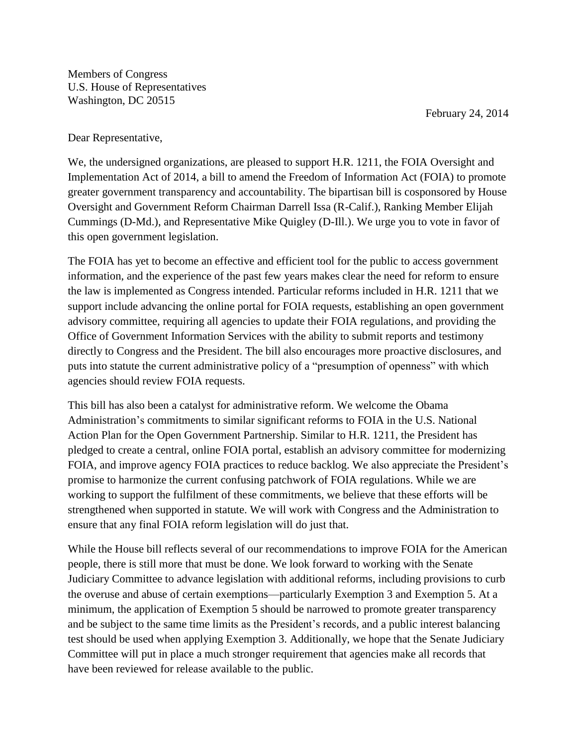Members of Congress U.S. House of Representatives Washington, DC 20515

February 24, 2014

Dear Representative,

We, the undersigned organizations, are pleased to support H.R. 1211, the FOIA Oversight and Implementation Act of 2014, a bill to amend the Freedom of Information Act (FOIA) to promote greater government transparency and accountability. The bipartisan bill is cosponsored by House Oversight and Government Reform Chairman Darrell Issa (R-Calif.), Ranking Member Elijah Cummings (D-Md.), and Representative Mike Quigley (D-Ill.). We urge you to vote in favor of this open government legislation.

The FOIA has yet to become an effective and efficient tool for the public to access government information, and the experience of the past few years makes clear the need for reform to ensure the law is implemented as Congress intended. Particular reforms included in H.R. 1211 that we support include advancing the online portal for FOIA requests, establishing an open government advisory committee, requiring all agencies to update their FOIA regulations, and providing the Office of Government Information Services with the ability to submit reports and testimony directly to Congress and the President. The bill also encourages more proactive disclosures, and puts into statute the current administrative policy of a "presumption of openness" with which agencies should review FOIA requests.

This bill has also been a catalyst for administrative reform. We welcome the Obama Administration's commitments to similar significant reforms to FOIA in the U.S. National Action Plan for the Open Government Partnership. Similar to H.R. 1211, the President has pledged to create a central, online FOIA portal, establish an advisory committee for modernizing FOIA, and improve agency FOIA practices to reduce backlog. We also appreciate the President's promise to harmonize the current confusing patchwork of FOIA regulations. While we are working to support the fulfilment of these commitments, we believe that these efforts will be strengthened when supported in statute. We will work with Congress and the Administration to ensure that any final FOIA reform legislation will do just that.

While the House bill reflects several of our recommendations to improve FOIA for the American people, there is still more that must be done. We look forward to working with the Senate Judiciary Committee to advance legislation with additional reforms, including provisions to curb the overuse and abuse of certain exemptions—particularly Exemption 3 and Exemption 5. At a minimum, the application of Exemption 5 should be narrowed to promote greater transparency and be subject to the same time limits as the President's records, and a public interest balancing test should be used when applying Exemption 3. Additionally, we hope that the Senate Judiciary Committee will put in place a much stronger requirement that agencies make all records that have been reviewed for release available to the public.